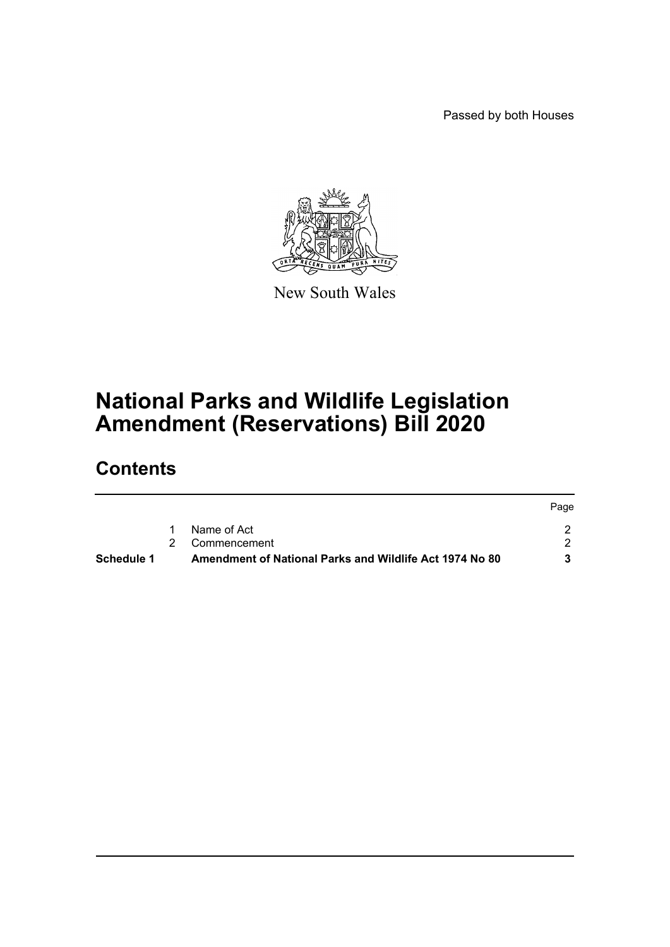Passed by both Houses

Page



New South Wales

## **National Parks and Wildlife Legislation Amendment (Reservations) Bill 2020**

## **Contents**

| Schedule 1 | Amendment of National Parks and Wildlife Act 1974 No 80 |      |
|------------|---------------------------------------------------------|------|
|            | 2 Commencement                                          |      |
|            | Name of Act                                             |      |
|            |                                                         | rage |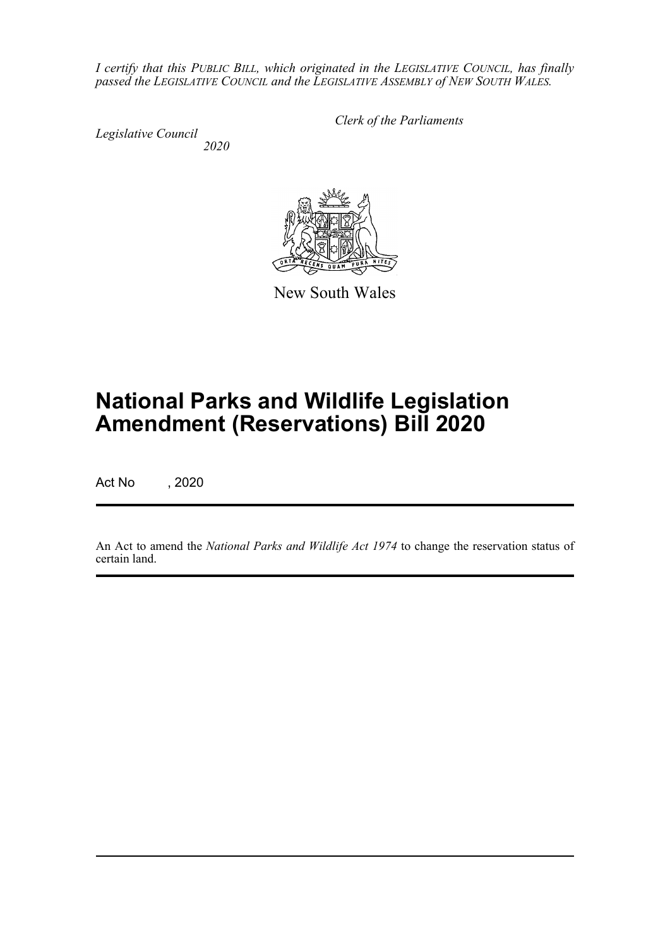*I certify that this PUBLIC BILL, which originated in the LEGISLATIVE COUNCIL, has finally passed the LEGISLATIVE COUNCIL and the LEGISLATIVE ASSEMBLY of NEW SOUTH WALES.*

*Legislative Council 2020* *Clerk of the Parliaments*

New South Wales

# **National Parks and Wildlife Legislation Amendment (Reservations) Bill 2020**

Act No , 2020

An Act to amend the *National Parks and Wildlife Act 1974* to change the reservation status of certain land.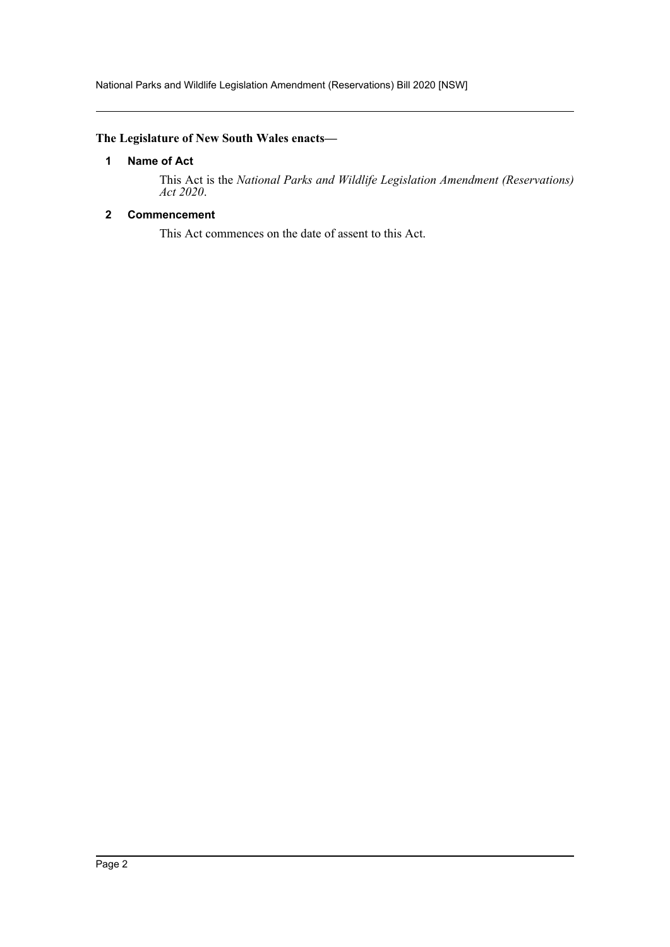National Parks and Wildlife Legislation Amendment (Reservations) Bill 2020 [NSW]

#### <span id="page-2-0"></span>**The Legislature of New South Wales enacts—**

#### **1 Name of Act**

This Act is the *National Parks and Wildlife Legislation Amendment (Reservations) Act 2020*.

#### <span id="page-2-1"></span>**2 Commencement**

This Act commences on the date of assent to this Act.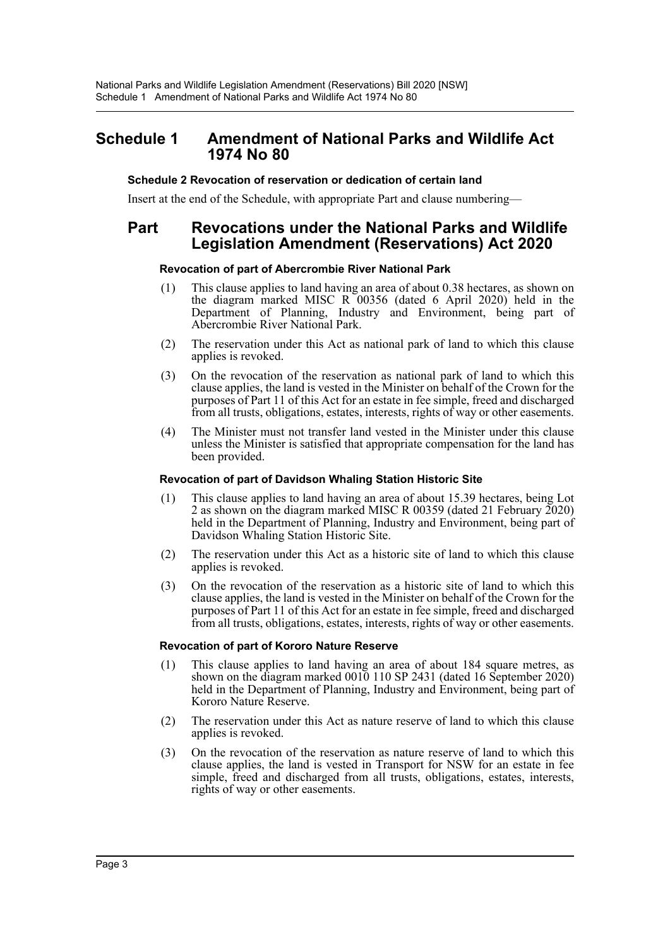### <span id="page-3-0"></span>**Schedule 1 Amendment of National Parks and Wildlife Act 1974 No 80**

#### **Schedule 2 Revocation of reservation or dedication of certain land**

Insert at the end of the Schedule, with appropriate Part and clause numbering—

### **Part Revocations under the National Parks and Wildlife Legislation Amendment (Reservations) Act 2020**

#### **Revocation of part of Abercrombie River National Park**

- (1) This clause applies to land having an area of about 0.38 hectares, as shown on the diagram marked MISC R 00356 (dated 6 April 2020) held in the Department of Planning, Industry and Environment, being part of Abercrombie River National Park.
- (2) The reservation under this Act as national park of land to which this clause applies is revoked.
- (3) On the revocation of the reservation as national park of land to which this clause applies, the land is vested in the Minister on behalf of the Crown for the purposes of Part 11 of this Act for an estate in fee simple, freed and discharged from all trusts, obligations, estates, interests, rights of way or other easements.
- (4) The Minister must not transfer land vested in the Minister under this clause unless the Minister is satisfied that appropriate compensation for the land has been provided.

#### **Revocation of part of Davidson Whaling Station Historic Site**

- (1) This clause applies to land having an area of about 15.39 hectares, being Lot 2 as shown on the diagram marked MISC R 00359 (dated 21 February 2020) held in the Department of Planning, Industry and Environment, being part of Davidson Whaling Station Historic Site.
- (2) The reservation under this Act as a historic site of land to which this clause applies is revoked.
- (3) On the revocation of the reservation as a historic site of land to which this clause applies, the land is vested in the Minister on behalf of the Crown for the purposes of Part 11 of this Act for an estate in fee simple, freed and discharged from all trusts, obligations, estates, interests, rights of way or other easements.

#### **Revocation of part of Kororo Nature Reserve**

- (1) This clause applies to land having an area of about 184 square metres, as shown on the diagram marked 0010 110 SP 2431 (dated 16 September 2020) held in the Department of Planning, Industry and Environment, being part of Kororo Nature Reserve.
- (2) The reservation under this Act as nature reserve of land to which this clause applies is revoked.
- (3) On the revocation of the reservation as nature reserve of land to which this clause applies, the land is vested in Transport for NSW for an estate in fee simple, freed and discharged from all trusts, obligations, estates, interests, rights of way or other easements.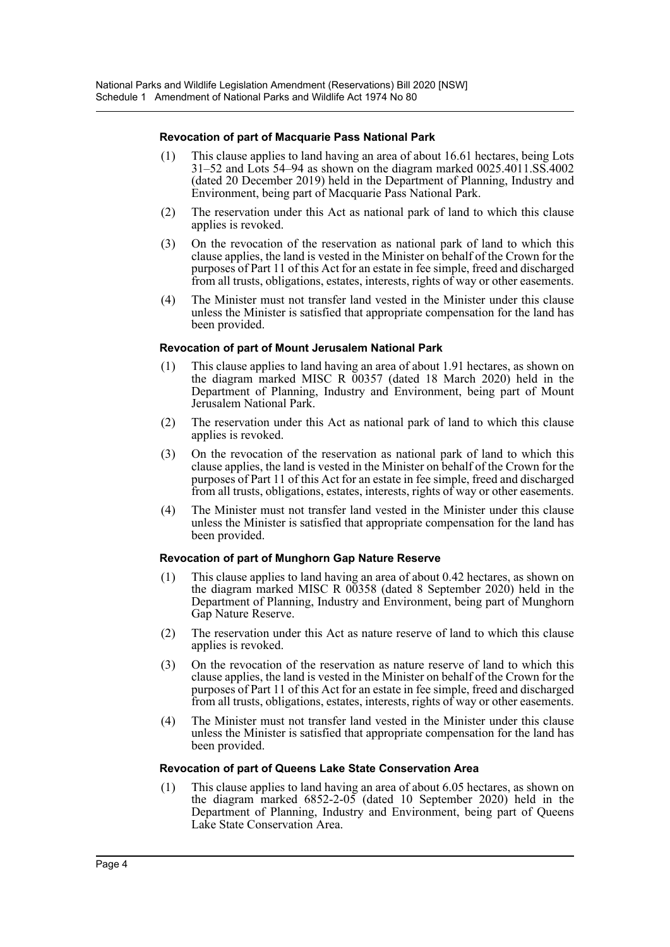#### **Revocation of part of Macquarie Pass National Park**

- (1) This clause applies to land having an area of about 16.61 hectares, being Lots 31–52 and Lots 54–94 as shown on the diagram marked 0025.4011.SS.4002 (dated 20 December 2019) held in the Department of Planning, Industry and Environment, being part of Macquarie Pass National Park.
- (2) The reservation under this Act as national park of land to which this clause applies is revoked.
- (3) On the revocation of the reservation as national park of land to which this clause applies, the land is vested in the Minister on behalf of the Crown for the purposes of Part 11 of this Act for an estate in fee simple, freed and discharged from all trusts, obligations, estates, interests, rights of way or other easements.
- (4) The Minister must not transfer land vested in the Minister under this clause unless the Minister is satisfied that appropriate compensation for the land has been provided.

#### **Revocation of part of Mount Jerusalem National Park**

- (1) This clause applies to land having an area of about 1.91 hectares, as shown on the diagram marked MISC R 00357 (dated 18 March 2020) held in the Department of Planning, Industry and Environment, being part of Mount Jerusalem National Park.
- (2) The reservation under this Act as national park of land to which this clause applies is revoked.
- (3) On the revocation of the reservation as national park of land to which this clause applies, the land is vested in the Minister on behalf of the Crown for the purposes of Part 11 of this Act for an estate in fee simple, freed and discharged from all trusts, obligations, estates, interests, rights of way or other easements.
- (4) The Minister must not transfer land vested in the Minister under this clause unless the Minister is satisfied that appropriate compensation for the land has been provided.

#### **Revocation of part of Munghorn Gap Nature Reserve**

- (1) This clause applies to land having an area of about 0.42 hectares, as shown on the diagram marked MISC R  $00358$  (dated 8 September 2020) held in the Department of Planning, Industry and Environment, being part of Munghorn Gap Nature Reserve.
- (2) The reservation under this Act as nature reserve of land to which this clause applies is revoked.
- (3) On the revocation of the reservation as nature reserve of land to which this clause applies, the land is vested in the Minister on behalf of the Crown for the purposes of Part 11 of this Act for an estate in fee simple, freed and discharged from all trusts, obligations, estates, interests, rights of way or other easements.
- (4) The Minister must not transfer land vested in the Minister under this clause unless the Minister is satisfied that appropriate compensation for the land has been provided.

#### **Revocation of part of Queens Lake State Conservation Area**

(1) This clause applies to land having an area of about 6.05 hectares, as shown on the diagram marked  $6852-2-05$  (dated 10 September 2020) held in the Department of Planning, Industry and Environment, being part of Queens Lake State Conservation Area.